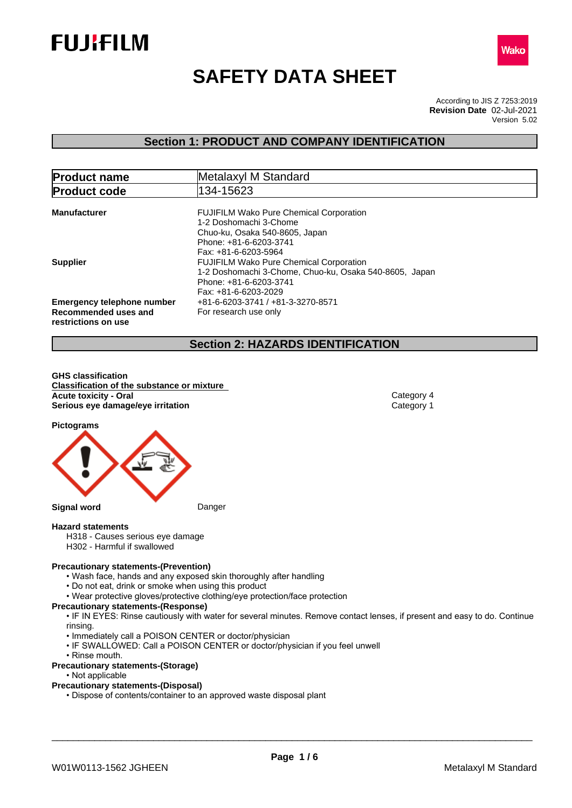



# **SAFETY DATA SHEET**

According to JIS Z 7253:2019 Version 5.02 **Revision Date** 02-Jul-2021

# **Section 1: PRODUCT AND COMPANY IDENTIFICATION**

| <b>Product name</b><br>Metalaxyl M Standard                                      |                                                                                                                                                              |  |  |
|----------------------------------------------------------------------------------|--------------------------------------------------------------------------------------------------------------------------------------------------------------|--|--|
| <b>Product code</b>                                                              | 134-15623                                                                                                                                                    |  |  |
| <b>Manufacturer</b>                                                              | <b>FUJIFILM Wako Pure Chemical Corporation</b><br>1-2 Doshomachi 3-Chome<br>Chuo-ku, Osaka 540-8605, Japan<br>Phone: +81-6-6203-3741<br>Fax: +81-6-6203-5964 |  |  |
| <b>Supplier</b>                                                                  | <b>FUJIFILM Wako Pure Chemical Corporation</b><br>1-2 Doshomachi 3-Chome, Chuo-ku, Osaka 540-8605, Japan<br>Phone: +81-6-6203-3741<br>Fax: +81-6-6203-2029   |  |  |
| <b>Emergency telephone number</b><br>Recommended uses and<br>restrictions on use | +81-6-6203-3741 / +81-3-3270-8571<br>For research use only                                                                                                   |  |  |

# **Section 2: HAZARDS IDENTIFICATION**

**GHS classification Classification of the substance or mixture Acute toxicity - Oral** Category 4 **Serious eye damage/eye irritation** Category 1

**Pictograms**



#### **Hazard statements**

- H318 Causes serious eye damage
- H302 Harmful if swallowed

# **Precautionary statements-(Prevention)**

- Wash face, hands and any exposed skin thoroughly after handling
- Do not eat, drink or smoke when using this product
- Wear protective gloves/protective clothing/eye protection/face protection

#### **Precautionary statements-(Response)**

• IF IN EYES: Rinse cautiously with water for several minutes. Remove contact lenses, if present and easy to do. Continue rinsing.

- Immediately call a POISON CENTER or doctor/physician
- IF SWALLOWED: Call a POISON CENTER or doctor/physician if you feel unwell
- Rinse mouth.

### **Precautionary statements-(Storage)**

• Not applicable

#### **Precautionary statements-(Disposal)**

• Dispose of contents/container to an approved waste disposal plant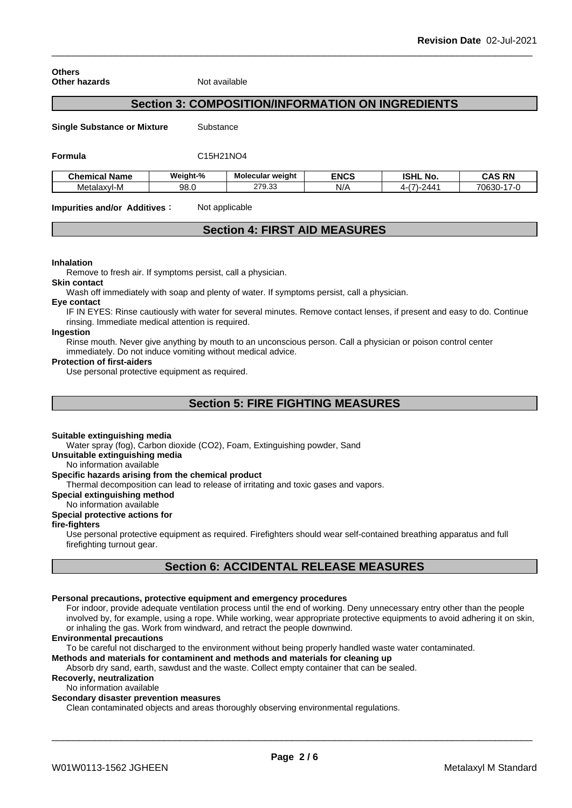**Others Other hazards** Not available

# **Section 3: COMPOSITION/INFORMATION ON INGREDIENTS**

**Single Substance or Mixture** Substance

#### **Formula** C15H21NO4

| <b>Chemical Name</b> | Weight-% | Molecular weight       | <b>ENCS</b> | וניסו<br>. NO.<br>וספו  | <b>CAS RN</b>     |
|----------------------|----------|------------------------|-------------|-------------------------|-------------------|
| Metalaxvl-M          | 98.0     | $\sim$<br>ה7ה<br>57. ت | N/r         | · <i>, /\ /</i><br>. וי | 70630<br>. სიპს " |

**Impurities and/or Additives:** Not applicable

# **Section 4: FIRST AID MEASURES**

#### **Inhalation**

Remove to fresh air. If symptoms persist, call a physician.

#### **Skin contact**

Wash off immediately with soap and plenty of water. If symptoms persist, call a physician.

#### **Eye contact**

IF IN EYES: Rinse cautiously with water for several minutes. Remove contact lenses, if present and easy to do. Continue rinsing. Immediate medical attention is required.

# **Ingestion**

Rinse mouth. Never give anything by mouth to an unconscious person. Call a physician or poison control center immediately. Do not induce vomiting without medical advice.

#### **Protection of first-aiders**

Use personal protective equipment as required.

# **Section 5: FIRE FIGHTING MEASURES**

#### **Suitable extinguishing media**

Water spray (fog), Carbon dioxide (CO2), Foam, Extinguishing powder, Sand

#### **Unsuitable extinguishing media**

No information available

#### **Specific hazards arising from the chemical product**

Thermal decomposition can lead to release of irritating and toxic gases and vapors.

#### **Special extinguishing method**

No information available

### **Special protective actions for**

#### **fire-fighters**

Use personal protective equipment as required.Firefighters should wear self-contained breathing apparatus and full firefighting turnout gear.

# **Section 6: ACCIDENTAL RELEASE MEASURES**

#### **Personal precautions, protective equipment and emergency procedures**

For indoor, provide adequate ventilation process until the end of working. Deny unnecessary entry other than the people involved by, for example, using a rope. While working, wear appropriate protective equipments to avoid adhering it on skin, or inhaling the gas. Work from windward, and retract the people downwind.

#### **Environmental precautions**

To be careful not discharged to the environment without being properly handled waste water contaminated.

### **Methods and materials for contaminent and methods and materials for cleaning up**

Absorb dry sand, earth, sawdust and the waste. Collect empty container that can be sealed.

### **Recoverly, neutralization**

#### No information available

**Secondary disaster prevention measures**

Clean contaminated objects and areas thoroughly observing environmental regulations.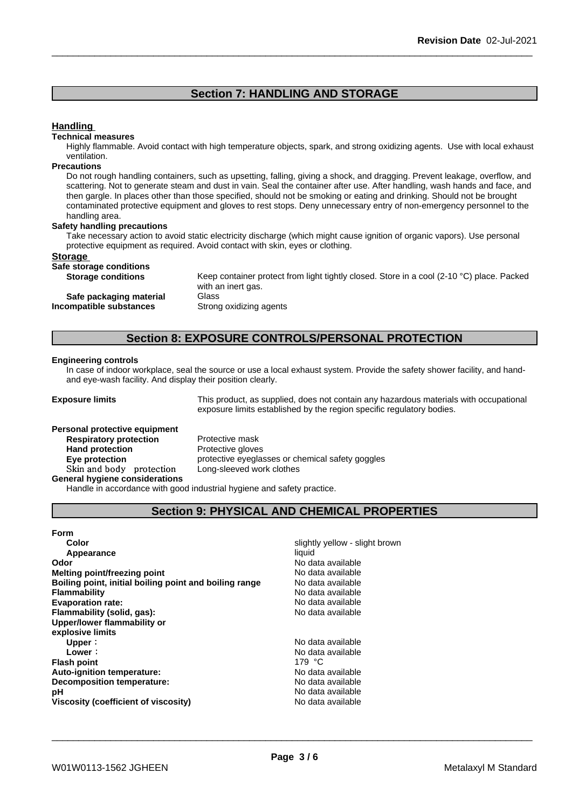# **Section 7: HANDLING AND STORAGE**

# **Handling**

#### **Technical measures**

Highly flammable. Avoid contact with high temperature objects, spark, and strong oxidizing agents. Use with local exhaust ventilation.

#### **Precautions**

Do not rough handling containers, such as upsetting, falling, giving a shock, and dragging. Prevent leakage, overflow, and scattering. Not to generate steam and dust in vain. Seal the container after use. After handling, wash hands and face, and then gargle. In places other than those specified, should not be smoking or eating and drinking. Should not be brought contaminated protective equipment and gloves to rest stops. Deny unnecessary entry of non-emergency personnel to the handling area.

#### **Safety handling precautions**

Take necessary action to avoid static electricity discharge (which might cause ignition of organic vapors). Use personal protective equipment as required. Avoid contact with skin, eyes or clothing.

#### **Storage**

**Safe storage conditions**

**Storage conditions** Keep container protect from light tightly closed. Store in a cool (2-10 °C) place. Packed with an inert gas. **Safe packaging material** Glass **Incompatible substances** Strong oxidizing agents

# **Section 8: EXPOSURE CONTROLS/PERSONAL PROTECTION**

#### **Engineering controls**

In case of indoor workplace, seal the source or use a local exhaust system. Provide the safety shower facility, and handand eye-wash facility. And display their position clearly.

**Exposure limits** This product, as supplied, does not contain any hazardous materials with occupational exposure limits established by the region specific regulatory bodies.

# **Personal protective equipment Respiratory** protection **Hand protection** Protective gloves **Skinandbody protection** Long-sleeved work clothes **General hygiene considerations**

**Eye protection Eye protective** eyeglasses or chemical safety goggles

Handle in accordance with good industrial hygiene and safety practice.

# **Section 9: PHYSICAL AND CHEMICAL PROPERTIES**

#### **Form**

| Color                                                  | slightly yellow - slight brown |
|--------------------------------------------------------|--------------------------------|
| Appearance                                             | liquid                         |
| <b>Odor</b>                                            | No data available              |
| Melting point/freezing point                           | No data available              |
| Boiling point, initial boiling point and boiling range | No data available              |
| Flammability                                           | No data available              |
| <b>Evaporation rate:</b>                               | No data available              |
| Flammability (solid, gas):                             | No data available              |
| Upper/lower flammability or                            |                                |
| explosive limits                                       |                                |
| Upper:                                                 | No data available              |
| Lower:                                                 | No data available              |
| <b>Flash point</b>                                     | 179 $^{\circ}$ C               |
| Auto-ignition temperature:                             | No data available              |
| Decomposition temperature:                             | No data available              |
| рH                                                     | No data available              |
| Viscosity (coefficient of viscosity)                   | No data available              |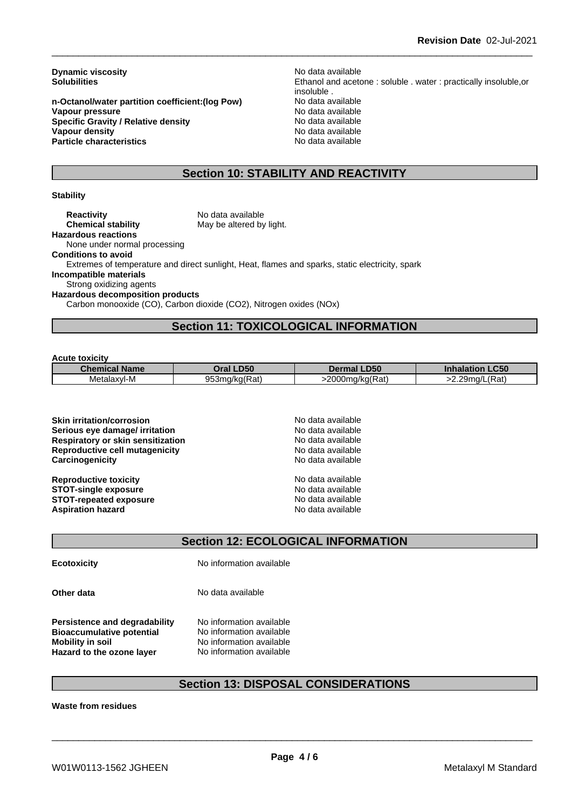**Dynamic viscosity**<br> **Solubilities**<br> **Solubilities**<br> **Solubilities** 

**n-Octanol/water partition coefficient:(log Pow) No data available<br>
<b>Vapour pressure** No data available **Vapour pressure**<br> **Specific Gravity / Relative density**<br>
Specific Gravity / Relative density<br>  $\frac{1}{2}$  Mo data available **Specific Gravity / Relative density Vapour density**<br> **Particle characteristics**<br> **Particle characteristics**<br> **No data available Particle characteristics** 

Ethanol and acetone : soluble . water : practically insoluble,or insoluble .

# **Section 10: STABILITY AND REACTIVITY**

#### **Stability**

**Reactivity** No data available<br> **Chemical stability** May be altered by May be altered by light. **Hazardous reactions** None under normal processing **Conditions to avoid** Extremes of temperature and direct sunlight, Heat, flames and sparks, static electricity, spark **Incompatible materials** Strong oxidizing agents **Hazardous decomposition products** Carbon monooxide (CO), Carbon dioxide (CO2), Nitrogen oxides (NOx)

# **Section 11: TOXICOLOGICAL INFORMATION**

#### **Acute toxicity**

| <b>Chemical Name</b> | <b>Dral LD50</b> | <b>Dermal LD50</b> | <b>_C50</b><br><b>Inhalation</b> |
|----------------------|------------------|--------------------|----------------------------------|
| Metalaxyl-M          | 953mg/kg(Rat)    | 2000ma/ka(Rat)     | (Rat)                            |
|                      | . .              | . .                | $29$ ma/L                        |

**Skin irritation/corrosion** No data available **Serious eye damage/ irritation No data available No data available Respiratory or skin sensitization** No data available **Reproductive cell mutagenicity**<br> **Carcinogenicity**<br>
Carcinogenicity<br>
No data available **Carcinogenicity** 

**Reproductive toxicity No data available STOT-single exposure**<br> **STOT-repeated exposure**<br> **STOT-repeated exposure**<br> **No data available STOT-repeated exposure Aspiration hazard** No data available

# **Section 12: ECOLOGICAL INFORMATION**

**Ecotoxicity** No information available

**Other data** No data available

**Persistence and degradability** No information available **Bioaccumulative potential** No information available **Mobility in soil**<br> **Hazard to the ozone laver** Mo information available **Hazard** to the ozone layer

# **Section 13: DISPOSAL CONSIDERATIONS**

**Waste from residues**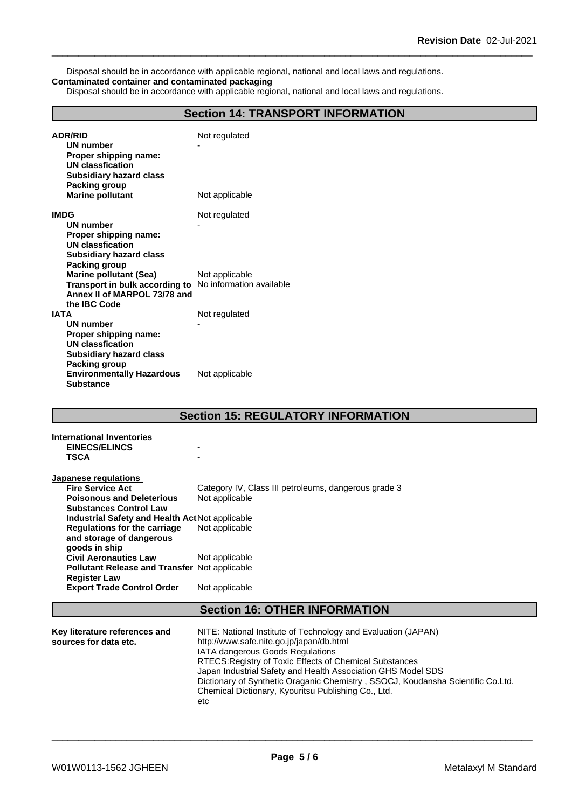Disposal should be in accordance with applicable regional, national and local laws and regulations. **Contaminated container and contaminated packaging**

Disposal should be in accordance with applicable regional, national and local laws and regulations.

# **Section 14: TRANSPORT INFORMATION**

| <b>ADR/RID</b><br><b>UN number</b><br>Proper shipping name:<br><b>UN classfication</b><br><b>Subsidiary hazard class</b> | Not regulated  |
|--------------------------------------------------------------------------------------------------------------------------|----------------|
| <b>Packing group</b><br><b>Marine pollutant</b>                                                                          | Not applicable |
| <b>IMDG</b>                                                                                                              | Not regulated  |
| <b>UN number</b>                                                                                                         |                |
| Proper shipping name:                                                                                                    |                |
| <b>UN classfication</b>                                                                                                  |                |
| <b>Subsidiary hazard class</b>                                                                                           |                |
| Packing group                                                                                                            |                |
| <b>Marine pollutant (Sea)</b>                                                                                            | Not applicable |
| Transport in bulk according to No information available<br>Annex II of MARPOL 73/78 and                                  |                |
| the IBC Code                                                                                                             |                |
| <b>IATA</b>                                                                                                              | Not regulated  |
| <b>UN number</b>                                                                                                         |                |
| Proper shipping name:                                                                                                    |                |
| <b>UN classfication</b>                                                                                                  |                |
| <b>Subsidiary hazard class</b>                                                                                           |                |
| Packing group                                                                                                            |                |
| <b>Environmentally Hazardous</b>                                                                                         | Not applicable |
| <b>Substance</b>                                                                                                         |                |

# **Section 15: REGULATORY INFORMATION**

| International Inventories<br><b>EINECS/ELINCS</b><br><b>TSCA</b>          |                                                      |
|---------------------------------------------------------------------------|------------------------------------------------------|
| Japanese regulations                                                      |                                                      |
| <b>Fire Service Act</b>                                                   | Category IV, Class III petroleums, dangerous grade 3 |
| <b>Poisonous and Deleterious</b>                                          | Not applicable                                       |
| <b>Substances Control Law</b>                                             |                                                      |
| Industrial Safety and Health Act Not applicable                           |                                                      |
| Regulations for the carriage<br>and storage of dangerous<br>goods in ship | Not applicable                                       |
| <b>Civil Aeronautics Law</b>                                              | Not applicable                                       |
| Pollutant Release and Transfer Not applicable<br><b>Register Law</b>      |                                                      |
| <b>Export Trade Control Order</b>                                         | Not applicable                                       |
|                                                                           | <b>Section 16: OTUED INFORMATION</b>                 |

# **Section 16: OTHER INFORMATION**

| Key literature references and | NITE: National Institute of Technology and Evaluation (JAPAN)                   |
|-------------------------------|---------------------------------------------------------------------------------|
| sources for data etc.         | http://www.safe.nite.go.jp/japan/db.html                                        |
|                               | <b>IATA dangerous Goods Regulations</b>                                         |
|                               | RTECS: Registry of Toxic Effects of Chemical Substances                         |
|                               | Japan Industrial Safety and Health Association GHS Model SDS                    |
|                               | Dictionary of Synthetic Oraganic Chemistry, SSOCJ, Koudansha Scientific Co.Ltd. |
|                               | Chemical Dictionary, Kyouritsu Publishing Co., Ltd.                             |
|                               | etc                                                                             |